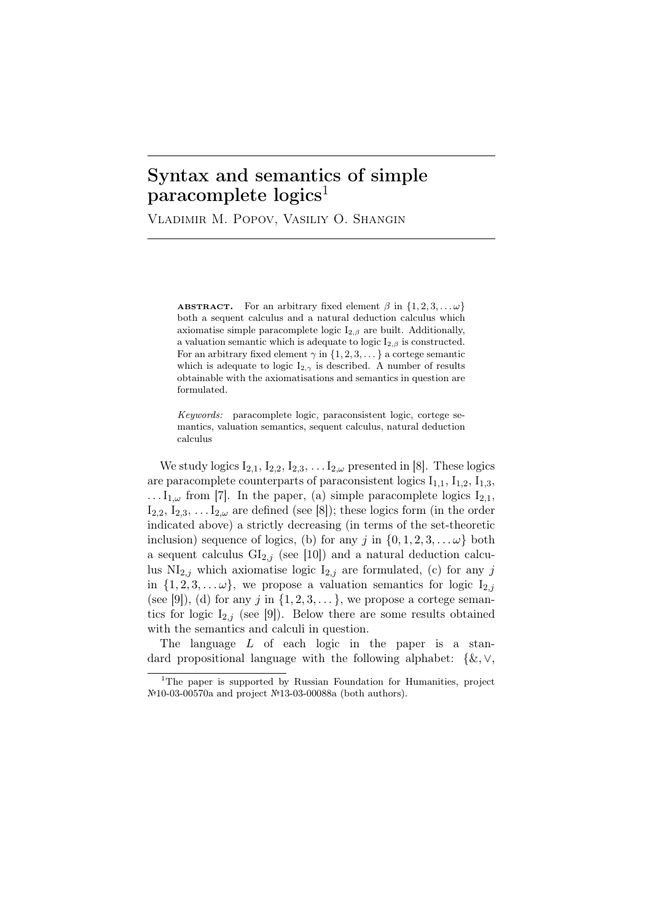## Syntax and semantics of simple  $\rm para complete logics<sup>1</sup>$

Vladimir M. Popov, Vasiliy O. Shangin

**ABSTRACT.** For an arbitrary fixed element  $\beta$  in  $\{1, 2, 3, \ldots \omega\}$ both a sequent calculus and a natural deduction calculus which axiomatise simple paracomplete logic  $I_{2,\beta}$  are built. Additionally, a valuation semantic which is adequate to logic  $I_{2,\beta}$  is constructed. For an arbitrary fixed element  $\gamma$  in  $\{1, 2, 3, \dots\}$  a cortege semantic which is adequate to logic  $I_{2,\gamma}$  is described. A number of results obtainable with the axiomatisations and semantics in question are formulated.

*Keywords:* paracomplete logic, paraconsistent logic, cortege semantics, valuation semantics, sequent calculus, natural deduction calculus

We study logics  $I_{2,1}$ ,  $I_{2,2}$ ,  $I_{2,3}$ ,  $\ldots$   $I_{2,\omega}$  presented in [8]. These logics are paracomplete counterparts of paraconsistent logics  $I_{1,1}$ ,  $I_{1,2}$ ,  $I_{1,3}$ , ...  $I_{1,\omega}$  from [7]. In the paper, (a) simple paracomplete logics  $I_{2,1}$ ,  $I_{2,2}, I_{2,3}, \ldots I_{2,\omega}$  are defined (see [8]); these logics form (in the order indicated above) a strictly decreasing (in terms of the set-theoretic inclusion) sequence of logics, (b) for any  $j$  in  $\{0, 1, 2, 3, \ldots \omega\}$  both a sequent calculus  $GI_{2,j}$  (see [10]) and a natural deduction calculus  $\text{NI}_{2,j}$  which axiomatise logic  $\text{I}_{2,j}$  are formulated, (c) for any *j* in  $\{1, 2, 3, \ldots \omega\}$ , we propose a valuation semantics for logic  $I_{2,j}$ (see [9]), (d) for any *j* in  $\{1, 2, 3, \ldots\}$ , we propose a cortege semantics for logic  $I_{2,j}$  (see [9]). Below there are some results obtained with the semantics and calculi in question.

The language *L* of each logic in the paper is a standard propositional language with the following alphabet: *{*&*, ∨,*

<sup>&</sup>lt;sup>1</sup>The paper is supported by Russian Foundation for Humanities, project №10-03-00570a and project №13-03-00088a (both authors).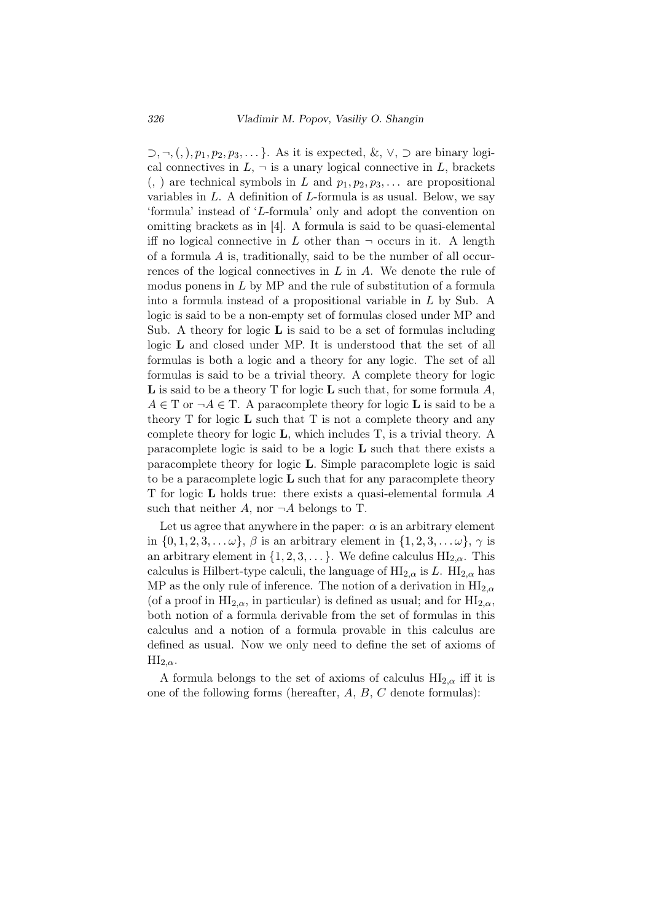*⊃, ¬,*(*,*)*, p*1*, p*2*, p*3*, . . . }*. As it is expected, &, *∨*, *⊃* are binary logical connectives in  $L$ ,  $\neg$  is a unary logical connective in  $L$ , brackets  $($ ,  $)$  are technical symbols in *L* and  $p_1, p_2, p_3, \ldots$  are propositional variables in *L*. A definition of *L*-formula is as usual. Below, we say 'formula' instead of '*L*-formula' only and adopt the convention on omitting brackets as in [4]. A formula is said to be quasi-elemental iff no logical connective in *L* other than  $\neg$  occurs in it. A length of a formula *A* is, traditionally, said to be the number of all occurrences of the logical connectives in *L* in *A*. We denote the rule of modus ponens in *L* by MP and the rule of substitution of a formula into a formula instead of a propositional variable in *L* by Sub. A logic is said to be a non-empty set of formulas closed under MP and Sub. A theory for logic  $\bf{L}$  is said to be a set of formulas including logic L and closed under MP. It is understood that the set of all formulas is both a logic and a theory for any logic. The set of all formulas is said to be a trivial theory. A complete theory for logic L is said to be a theory T for logic L such that, for some formula *A*,  $A \in T$  or  $\neg A \in T$ . A paracomplete theory for logic **L** is said to be a theory  $T$  for logic  $L$  such that  $T$  is not a complete theory and any complete theory for logic L, which includes T, is a trivial theory. A paracomplete logic is said to be a logic  $L$  such that there exists a paracomplete theory for logic L. Simple paracomplete logic is said to be a paracomplete logic  $\bf{L}$  such that for any paracomplete theory T for logic L holds true: there exists a quasi-elemental formula *A* such that neither  $A$ , nor  $\neg A$  belongs to T.

Let us agree that anywhere in the paper:  $\alpha$  is an arbitrary element in  $\{0, 1, 2, 3, \ldots \omega\}$ ,  $\beta$  is an arbitrary element in  $\{1, 2, 3, \ldots \omega\}$ ,  $\gamma$  is an arbitrary element in  $\{1, 2, 3, \ldots\}$ . We define calculus  $\text{HI}_{2,\alpha}$ . This calculus is Hilbert-type calculi, the language of  $\mathrm{HI}_{2,\alpha}$  is *L*.  $\mathrm{HI}_{2,\alpha}$  has MP as the only rule of inference. The notion of a derivation in  $\mathrm{HI}_{2,\alpha}$ (of a proof in  $HI_{2,\alpha}$ , in particular) is defined as usual; and for  $HI_{2,\alpha}$ , both notion of a formula derivable from the set of formulas in this calculus and a notion of a formula provable in this calculus are defined as usual. Now we only need to define the set of axioms of  $\text{HI}_{2,\alpha}$ .

A formula belongs to the set of axioms of calculus  $\text{HI}_{2,\alpha}$  iff it is one of the following forms (hereafter, *A*, *B*, *C* denote formulas):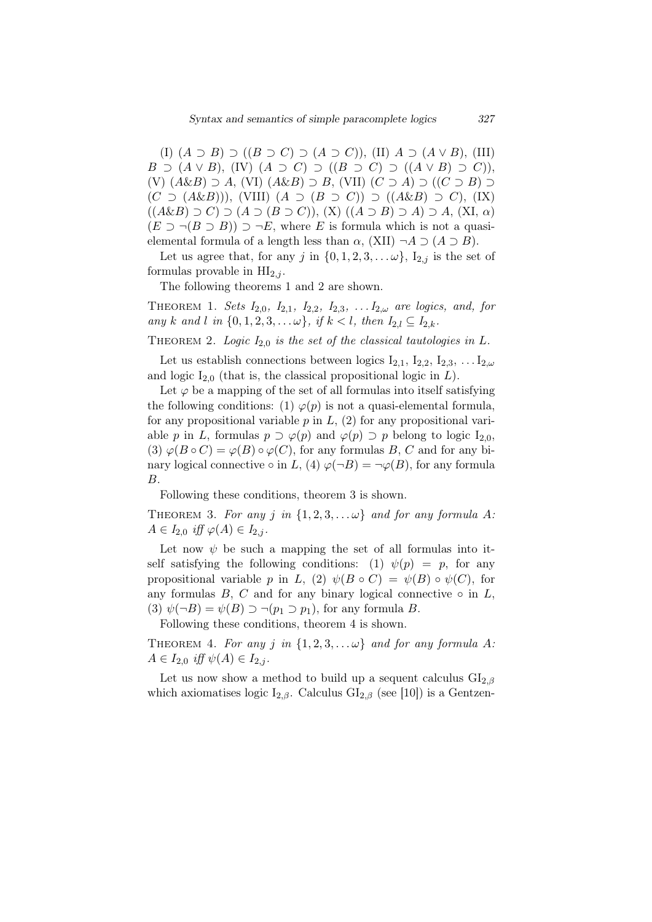(I) (*A ⊃ B*) *⊃* ((*B ⊃ C*) *⊃* (*A ⊃ C*)), (II) *A ⊃* (*A ∨ B*), (III) *B ⊃* (*A*  $\vee$  *B*), (IV) (*A ⊃ C*) *⊃* ((*B ⊃ C*) *⊃* ((*A*  $\vee$  *B*) *⊃ C*)), (V) (*A*&*B*) *⊃ A*, (VI) (*A*&*B*) *⊃ B*, (VII) (*C ⊃ A*) *⊃* ((*C ⊃ B*) *⊃* (*C ⊃* (*A*&*B*))), (VIII) (*A ⊃* (*B ⊃ C*)) *⊃* ((*A*&*B*) *⊃ C*), (IX) ((*A*&*B*) *⊃ C*) *⊃* (*A ⊃* (*B ⊃ C*)), (X) ((*A ⊃ B*) *⊃ A*) *⊃ A*, (XI, *α*)  $(E \supset \neg (B \supset B)) \supset \neg E$ , where *E* is formula which is not a quasielemental formula of a length less than  $\alpha$ , (XII)  $\neg A \supseteq (A \supseteq B)$ .

Let us agree that, for any *j* in  $\{0, 1, 2, 3, \ldots \omega\}$ ,  $I_{2,j}$  is the set of formulas provable in  $HI<sub>2,i</sub>$ .

The following theorems 1 and 2 are shown.

THEOREM 1. *Sets*  $I_{2,0}$ *,*  $I_{2,1}$ *,*  $I_{2,2}$ *,*  $I_{2,3}$ *, ...*  $I_{2,\omega}$  *are logics, and, for any k and l in*  $\{0, 1, 2, 3, \ldots \omega\}$ , *if*  $k < l$ , *then*  $I_{2,l} \subseteq I_{2,k}$ .

THEOREM 2. *Logic*  $I_{2,0}$  *is the set of the classical tautologies in*  $L$ *.* 

Let us establish connections between logics  $I_{2,1}$ ,  $I_{2,2}$ ,  $I_{2,3}$ , ...  $I_{2,\omega}$ and logic  $I_{2,0}$  (that is, the classical propositional logic in  $L$ ).

Let  $\varphi$  be a mapping of the set of all formulas into itself satisfying the following conditions: (1)  $\varphi(p)$  is not a quasi-elemental formula, for any propositional variable *p* in *L*, (2) for any propositional variable *p* in *L*, formulas  $p \supset \varphi(p)$  and  $\varphi(p) \supset p$  belong to logic  $I_{2,0}$ , (3)  $\varphi(B \circ C) = \varphi(B) \circ \varphi(C)$ , for any formulas *B*, *C* and for any binary logical connective  $\circ$  in *L*, (4)  $\varphi(\neg B) = \neg \varphi(B)$ , for any formula *B*.

Following these conditions, theorem 3 is shown.

THEOREM 3. For any *j* in  $\{1, 2, 3, \ldots \omega\}$  and for any formula A:  $A \in I_{2,0}$  *iff*  $\varphi(A) \in I_{2,j}$ .

Let now  $\psi$  be such a mapping the set of all formulas into itself satisfying the following conditions: (1)  $\psi(p) = p$ , for any propositional variable *p* in *L*, (2)  $\psi(B \circ C) = \psi(B) \circ \psi(C)$ , for any formulas  $B$ ,  $C$  and for any binary logical connective  $\circ$  in  $L$ , (3)  $\psi(\neg B) = \psi(B) \supset \neg(p_1 \supset p_1)$ , for any formula *B*.

Following these conditions, theorem 4 is shown.

THEOREM 4. For any *j* in  $\{1, 2, 3, \ldots \omega\}$  and for any formula A:  $A \in I_{2,0}$  *iff*  $\psi(A) \in I_{2,j}$ .

Let us now show a method to build up a sequent calculus  $GI_{2,\beta}$ which axiomatises logic  $I_{2,\beta}$ . Calculus  $GI_{2,\beta}$  (see [10]) is a Gentzen-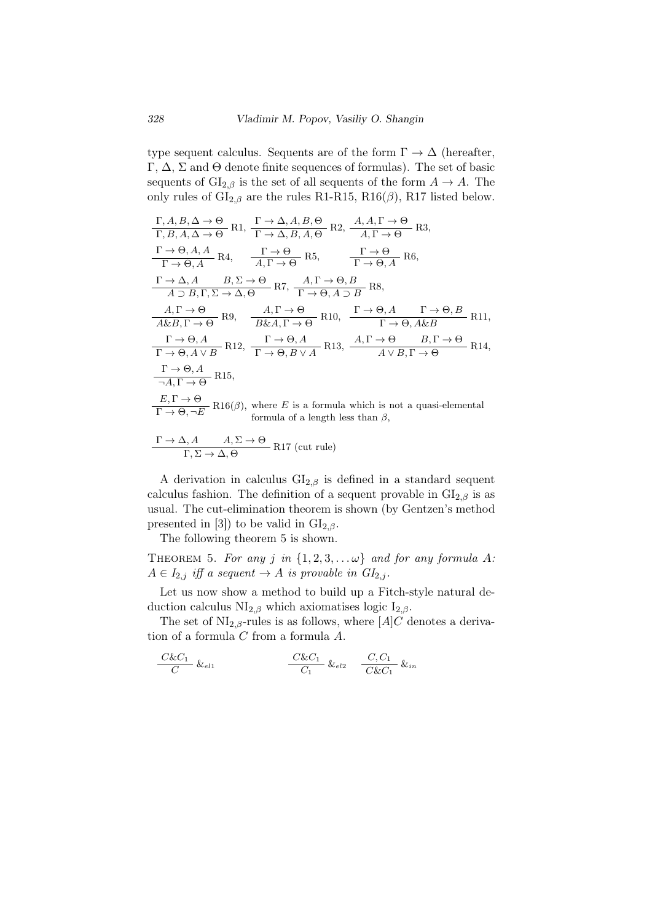type sequent calculus. Sequents are of the form  $\Gamma \to \Delta$  (hereafter, Γ, Δ, Σ and Θ denote finite sequences of formulas). The set of basic sequents of  $GI_{2,\beta}$  is the set of all sequents of the form  $A \rightarrow A$ . The only rules of  $\text{GI}_{2,\beta}$  are the rules R1-R15, R16( $\beta$ ), R17 listed below.

$$
\frac{\Gamma, A, B, \Delta \to \Theta}{\Gamma, B, A, \Delta \to \Theta} \text{ R1}, \frac{\Gamma \to \Delta, A, B, \Theta}{\Gamma \to \Delta, B, A, \Theta} \text{ R2}, \frac{A, A, \Gamma \to \Theta}{A, \Gamma \to \Theta} \text{ R3},
$$
\n
$$
\frac{\Gamma \to \Theta, A, A}{\Gamma \to \Theta, A} \text{ R4}, \frac{\Gamma \to \Theta}{A, \Gamma \to \Theta} \text{ R5}, \frac{\Gamma \to \Theta}{\Gamma \to \Theta, A} \text{ R6},
$$
\n
$$
\frac{\Gamma \to \Delta, A}{A \supset B, \Gamma, \Sigma \to \Delta, \Theta} \text{ R7}, \frac{A, \Gamma \to \Theta, B}{\Gamma \to \Theta, A \supset B} \text{ R8},
$$
\n
$$
\frac{A, \Gamma \to \Theta}{A \& B, \Gamma \to \Theta} \text{ R9}, \frac{A, \Gamma \to \Theta}{B \& A, \Gamma \to \Theta} \text{ R10}, \frac{\Gamma \to \Theta, A}{\Gamma \to \Theta, A \& B} \text{ R11},
$$
\n
$$
\frac{\Gamma \to \Theta, A}{\Gamma \to \Theta, A \lor B} \text{ R12}, \frac{\Gamma \to \Theta, A}{\Gamma \to \Theta, B \lor A} \text{ R13}, \frac{A, \Gamma \to \Theta}{A \lor B, \Gamma \to \Theta} \text{ R14},
$$
\n
$$
\frac{\Gamma \to \Theta, A}{\neg A, \Gamma \to \Theta} \text{ R15},
$$
\n
$$
\frac{E, \Gamma \to \Theta}{\Gamma \to \Theta, \neg E} \text{ R16}(\beta), \text{ where } E \text{ is a formula which is not a quasi-elemental formula of a length less than } \beta,
$$

$$
\frac{\Gamma \to \Delta, A \qquad A, \Sigma \to \Theta}{\Gamma, \Sigma \to \Delta, \Theta}
$$
R17 (cut rule)

A derivation in calculus  $GI_{2,\beta}$  is defined in a standard sequent calculus fashion. The definition of a sequent provable in  $GI_{2,\beta}$  is as usual. The cut-elimination theorem is shown (by Gentzen's method presented in [3]) to be valid in  $GI_{2,\beta}$ .

The following theorem 5 is shown.

THEOREM 5. For any *j* in  $\{1, 2, 3, \ldots \omega\}$  and for any formula A:  $A \in I_{2,j}$  *iff a sequent*  $\rightarrow A$  *is provable in*  $GI_{2,j}$ *.* 

Let us now show a method to build up a Fitch-style natural deduction calculus  $\text{NI}_{2,\beta}$  which axiomatises logic  $\text{I}_{2,\beta}$ .

The set of  $NI_{2,\beta}$ -rules is as follows, where  $[A]C$  denotes a derivation of a formula *C* from a formula *A*.

$$
\frac{C\&C_1}{C} \&\,e_{l1} \qquad \qquad \frac{C\&C_1}{C_1} \&\,e_{l2} \qquad \frac{C,C_1}{C\&C_1} \&\,infty
$$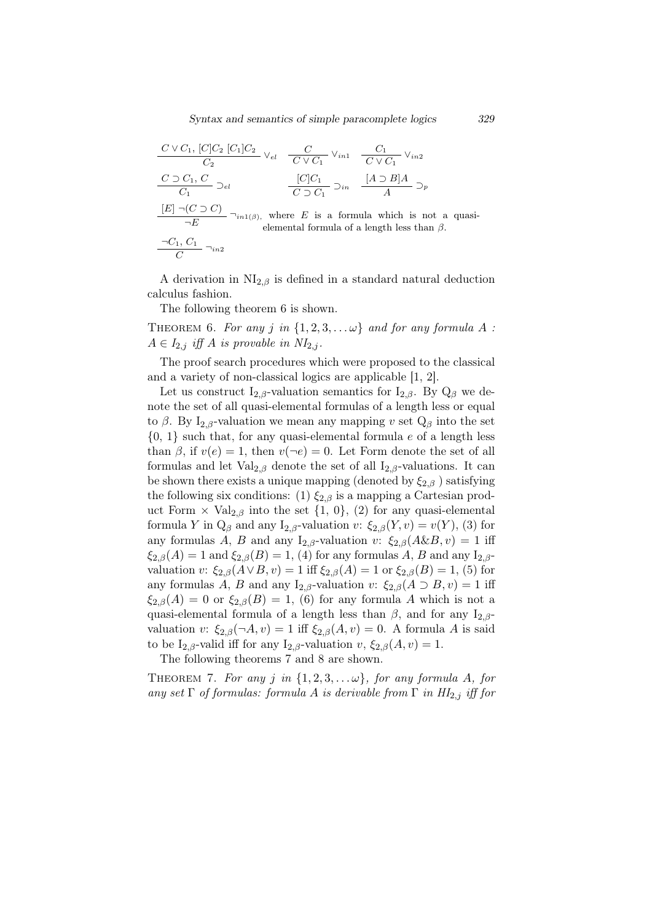$$
\frac{C \vee C_1, [C]C_2}{C_2} \vee_{el} \frac{C}{C \vee C_1} \vee_{in1} \frac{C_1}{C \vee C_1} \vee_{in2}
$$
\n
$$
\frac{C \supset C_1, C}{C_1} \supset_{el} \frac{[C]C_1}{C \supset C_1} \supset_{in} \frac{[A \supset B]A}{A} \supset_{p}
$$
\n
$$
\frac{[E] \neg (C \supset C)}{\neg E} \neg_{in1(\beta)}, \text{ where } E \text{ is a formula which is not a quasi-elemental formula of a length less than } \beta.
$$

A derivation in  $\text{NI}_{2,\beta}$  is defined in a standard natural deduction calculus fashion.

The following theorem 6 is shown.

THEOREM 6. For any *j* in  $\{1, 2, 3, \ldots \omega\}$  and for any formula A :  $A \in I_{2,j}$  *iff*  $A$  *is provable in*  $NI_{2,j}$ *.* 

The proof search procedures which were proposed to the classical and a variety of non-classical logics are applicable [1, 2].

Let us construct I<sub>2,β</sub>-valuation semantics for I<sub>2,β</sub>. By  $Q_\beta$  we denote the set of all quasi-elemental formulas of a length less or equal to  $\beta$ . By I<sub>2,β</sub>-valuation we mean any mapping *v* set  $Q_\beta$  into the set {0, 1} such that, for any quasi-elemental formula *e* of a length less than  $\beta$ , if  $v(e) = 1$ , then  $v(\neg e) = 0$ . Let Form denote the set of all formulas and let  $Val_{2,\beta}$  denote the set of all  $I_{2,\beta}$ -valuations. It can be shown there exists a unique mapping (denoted by  $\xi_{2,\beta}$ ) satisfying the following six conditions: (1)  $\xi_{2,\beta}$  is a mapping a Cartesian product Form  $\times$  Val<sub>2,*β*</sub> into the set {1, 0}, (2) for any quasi-elemental formula *Y* in  $Q_\beta$  and any  $I_{2,\beta}$ -valuation *v*:  $\xi_{2,\beta}(Y, v) = v(Y)$ , (3) for any formulas *A*, *B* and any I<sub>2</sub>, $\beta$ -valuation *v*:  $\xi_{2,\beta}(A\&B, v) = 1$  iff  $\xi_{2,\beta}(A) = 1$  and  $\xi_{2,\beta}(B) = 1$ , (4) for any formulas *A*, *B* and any I<sub>2,*β*</sub>valuation *v*:  $\xi_{2,\beta}(A \vee B, v) = 1$  iff  $\xi_{2,\beta}(A) = 1$  or  $\xi_{2,\beta}(B) = 1$ , (5) for any formulas *A*, *B* and any I<sub>2</sub>,*β*-valuation *v*:  $\xi_{2,\beta}(A \supset B, v) = 1$  iff  $\xi_{2,\beta}(A) = 0$  or  $\xi_{2,\beta}(B) = 1$ , (6) for any formula *A* which is not a quasi-elemental formula of a length less than  $\beta$ , and for any I<sub>2, $\beta$ </sub>valuation *v*:  $\xi_{2,\beta}(\neg A, v) = 1$  iff  $\xi_{2,\beta}(A, v) = 0$ . A formula *A* is said to be  $I_{2,\beta}$ -valid iff for any  $I_{2,\beta}$ -valuation  $v, \xi_{2,\beta}(A, v) = 1$ .

The following theorems 7 and 8 are shown.

THEOREM 7. For any *j* in  $\{1, 2, 3, \ldots \omega\}$ , for any formula *A*, for *any set*  $\Gamma$  *of formulas: formula A is derivable from*  $\Gamma$  *in*  $HI_{2,j}$  *iff for*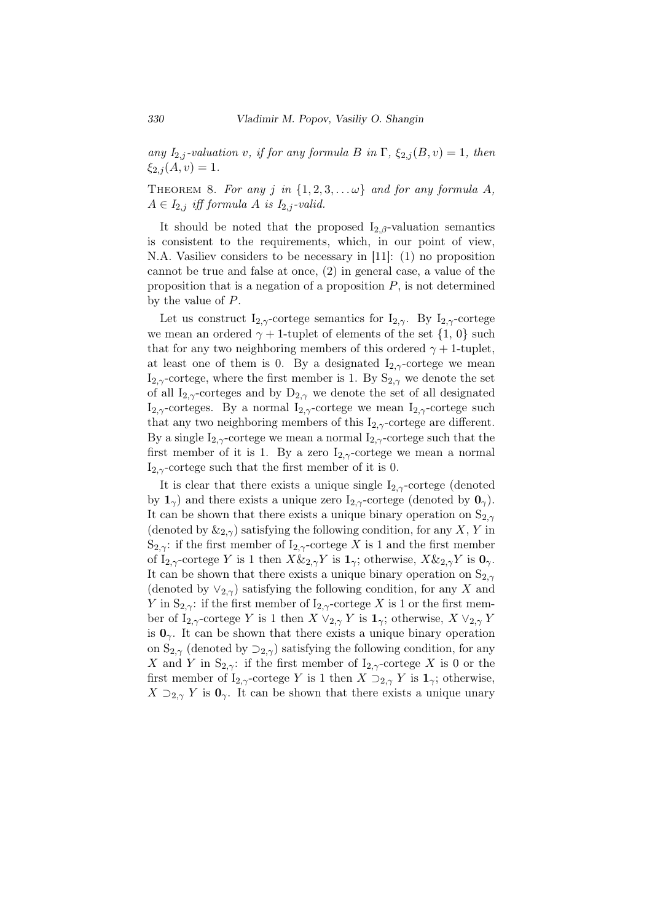*any*  $I_{2,j}$ -valuation *v, if for any formula B in*  $\Gamma$ *,*  $\xi_{2,j}(B, v) = 1$ *, then*  $\xi_{2,i}(A,v) = 1.$ 

THEOREM 8. For any *j* in  $\{1, 2, 3, \ldots \omega\}$  and for any formula A,  $A \in I_{2,j}$  *iff formula*  $A$  *is*  $I_{2,j}$ *-valid.* 

It should be noted that the proposed  $I_{2,\beta}$ -valuation semantics is consistent to the requirements, which, in our point of view, N.A. Vasiliev considers to be necessary in [11]: (1) no proposition cannot be true and false at once, (2) in general case, a value of the proposition that is a negation of a proposition *P*, is not determined by the value of *P*.

Let us construct  $I_{2,\gamma}$ -cortege semantics for  $I_{2,\gamma}$ . By  $I_{2,\gamma}$ -cortege we mean an ordered  $\gamma + 1$ -tuplet of elements of the set  $\{1, 0\}$  such that for any two neighboring members of this ordered  $\gamma + 1$ -tuplet, at least one of them is 0. By a designated  $I_{2,\gamma}$ -cortege we mean  $I_{2,\gamma}$ -cortege, where the first member is 1. By  $S_{2,\gamma}$  we denote the set of all I<sub>2, $\gamma$ </sub>-corteges and by D<sub>2, $\gamma$ </sub> we denote the set of all designated I<sub>2,γ</sub>-corteges. By a normal I<sub>2,γ</sub>-cortege we mean I<sub>2,γ</sub>-cortege such that any two neighboring members of this  $I_{2,\gamma}$ -cortege are different. By a single  $I_{2,\gamma}$ -cortege we mean a normal  $I_{2,\gamma}$ -cortege such that the first member of it is 1. By a zero  $I_{2,\gamma}$ -cortege we mean a normal  $I_{2,\gamma}$ -cortege such that the first member of it is 0.

It is clear that there exists a unique single  $I_{2,\gamma}$ -cortege (denoted by  $1_\gamma$ ) and there exists a unique zero  $I_{2,\gamma}$ -cortege (denoted by  $0_\gamma$ ). It can be shown that there exists a unique binary operation on  $S_{2,\gamma}$ (denoted by  $\&_{2,\gamma}$ ) satisfying the following condition, for any *X*, *Y* in S<sub>2,γ</sub>: if the first member of  $I_{2,\gamma}$ -cortege *X* is 1 and the first member of  $I_{2,\gamma}$ -cortege *Y* is 1 then  $X \&_{2,\gamma} Y$  is  $\mathbf{1}_{\gamma}$ ; otherwise,  $X \&_{2,\gamma} Y$  is  $\mathbf{0}_{\gamma}$ . It can be shown that there exists a unique binary operation on  $S_{2,\gamma}$ (denoted by *∨*2*,γ*) satisfying the following condition, for any *X* and *Y* in  $S_{2,\gamma}$ : if the first member of  $I_{2,\gamma}$ -cortege *X* is 1 or the first member of  $I_{2,\gamma}$ -cortege *Y* is 1 then *X*  $\vee_{2,\gamma}$  *Y* is  $1_{\gamma}$ ; otherwise, *X*  $\vee_{2,\gamma}$  *Y* is  $\mathbf{0}_{\gamma}$ . It can be shown that there exists a unique binary operation on  $S_{2,\gamma}$  (denoted by  $\supseteq_{2,\gamma}$ ) satisfying the following condition, for any *X* and *Y* in S<sub>2,γ</sub>: if the first member of I<sub>2,γ</sub>-cortege *X* is 0 or the first member of  $I_{2,\gamma}$ -cortege *Y* is 1 then *X*  $\supseteq_{2,\gamma}$  *Y* is  $\mathbf{1}_{\gamma}$ ; otherwise,  $X \supseteq_{2,\gamma} Y$  is  $\mathbf{0}_{\gamma}$ . It can be shown that there exists a unique unary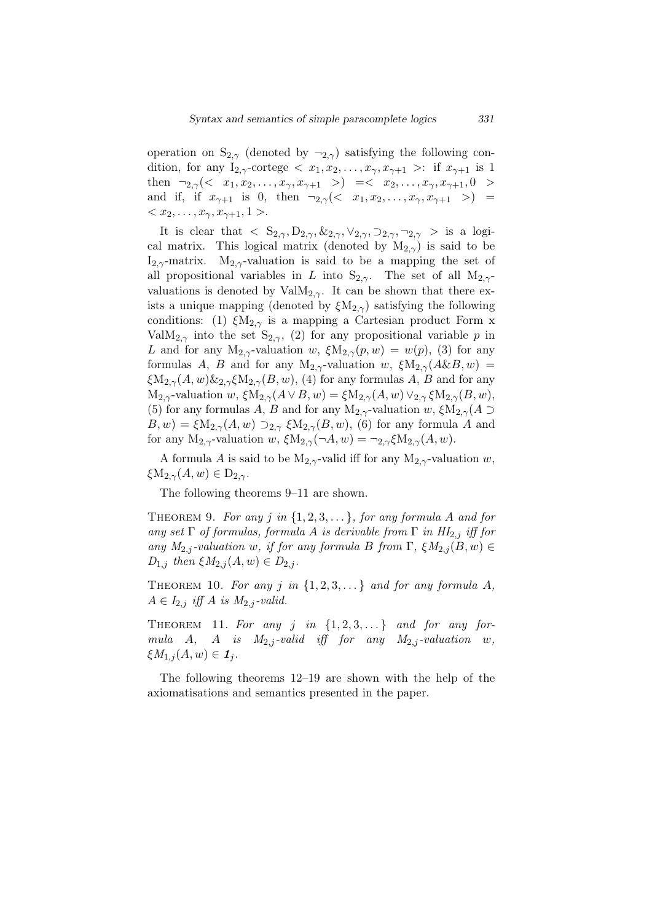operation on  $S_{2,\gamma}$  (denoted by  $\neg_{2,\gamma}$ ) satisfying the following condition, for any  $I_{2,\gamma}$ -cortege  $\langle x_1, x_2, \ldots, x_{\gamma}, x_{\gamma+1} \rangle$ : if  $x_{\gamma+1}$  is 1 then  $\neg_{2,\gamma}(< x_1, x_2, \ldots, x_{\gamma}, x_{\gamma+1} > ) \leq \langle x_2, \ldots, x_{\gamma}, x_{\gamma+1}, 0 >$ and if, if  $x_{\gamma+1}$  is 0, then  $\neg_{2,\gamma}(< x_1, x_2, \ldots, x_{\gamma}, x_{\gamma+1} > )$  =  $\langle x_2, \ldots, x_{\gamma}, x_{\gamma+1}, 1 \rangle$ 

It is clear that  $\langle S_{2,\gamma}, D_{2,\gamma}, \&_{2,\gamma}, \vee_{2,\gamma}, \supset_{2,\gamma}, \neg_{2,\gamma} \rangle$  is a logical matrix. This logical matrix (denoted by  $M_{2,\gamma}$ ) is said to be  $I_{2,\gamma}$ -matrix.  $M_{2,\gamma}$ -valuation is said to be a mapping the set of all propositional variables in *L* into  $S_{2,\gamma}$ . The set of all  $M_{2,\gamma}$ valuations is denoted by  $ValM_{2,\gamma}$ . It can be shown that there exists a unique mapping (denoted by  $\xi M_{2,\gamma}$ ) satisfying the following conditions: (1)  $\xi M_{2,\gamma}$  is a mapping a Cartesian product Form x ValM<sub>2, $\gamma$ </sub> into the set S<sub>2, $\gamma$ </sub>, (2) for any propositional variable *p* in *L* and for any  $M_{2,\gamma}$ -valuation *w*,  $\xi M_{2,\gamma}(p, w) = w(p)$ , (3) for any formulas *A*, *B* and for any  $M_{2,\gamma}$ -valuation *w*,  $\zeta M_{2,\gamma}(A\&B,w)$  =  $\zeta M_{2,\gamma}(A,w) \&_{2,\gamma} \zeta M_{2,\gamma}(B,w)$ , (4) for any formulas *A*, *B* and for any  $M_{2,\gamma}$ -valuation *w*,  $\xi M_{2,\gamma}(A \vee B, w) = \xi M_{2,\gamma}(A, w) \vee_{2,\gamma} \xi M_{2,\gamma}(B, w),$ (5) for any formulas *A*, *B* and for any  $M_{2,\gamma}$ -valuation *w*,  $\zeta M_{2,\gamma}(A)$  $B, w) = \xi M_{2,\gamma}(A, w) \supseteq_{2,\gamma} \xi M_{2,\gamma}(B, w)$ , (6) for any formula *A* and for any  $M_{2,\gamma}$ -valuation *w*,  $\zeta M_{2,\gamma}(\neg A, w) = \neg_{2,\gamma} \zeta M_{2,\gamma}(A, w)$ .

A formula *A* is said to be  $M_{2,\gamma}$ -valid iff for any  $M_{2,\gamma}$ -valuation *w*, *ξ*M<sub>2*,γ*</sub>(*A, w*)  $∈$  D<sub>2*,γ*</sub>.

The following theorems 9–11 are shown.

THEOREM 9. For any  $j$  in  $\{1, 2, 3, \ldots\}$ , for any formula  $A$  and for *any set*  $\Gamma$  *of formulas, formula A is derivable from*  $\Gamma$  *in*  $HI_{2,j}$  *iff for any*  $M_{2,j}$ -valuation *w, if for any formula B from*  $\Gamma$ *,*  $\xi M_{2,j}(B, w) \in$  $D_{1,j}$  *then*  $\xi M_{2,j}(A,w) \in D_{2,j}$ *.* 

THEOREM 10. For any  $j$  in  $\{1, 2, 3, \ldots\}$  and for any formula  $A$ ,  $A \in I_{2,j}$  *iff*  $A$  *is*  $M_{2,j}$ *-valid.* 

THEOREM 11. For any  $j$  in  $\{1, 2, 3, ...\}$  and for any for*mula A*, *A is*  $M_{2,j}$ -valid iff for any  $M_{2,j}$ -valuation *w*,  $\xi M_{1,j}(A,w) \in I_j$ .

The following theorems 12–19 are shown with the help of the axiomatisations and semantics presented in the paper.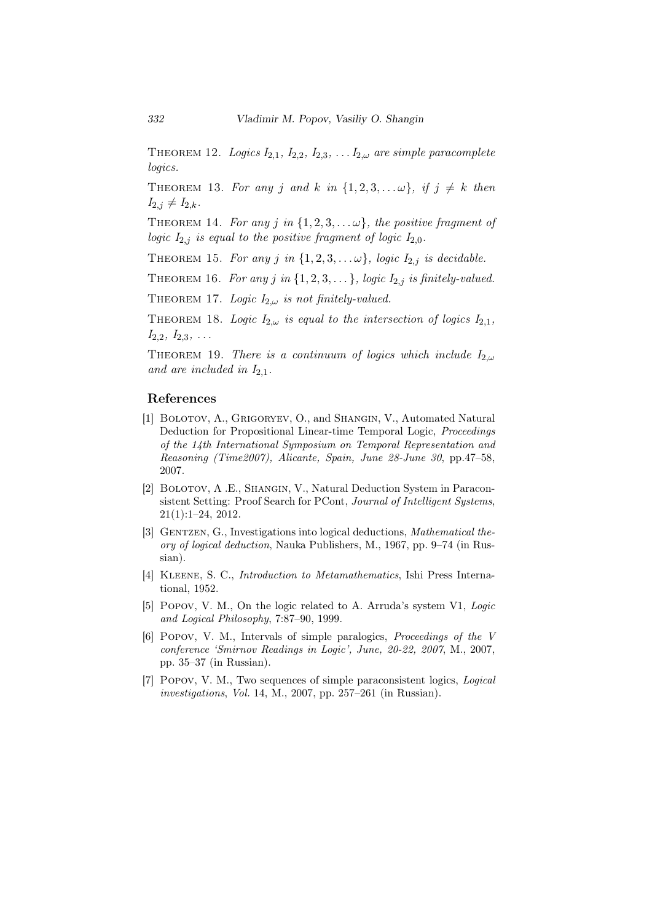THEOREM 12. *Logics*  $I_{2,1}$ *,*  $I_{2,2}$ *,*  $I_{2,3}$ *, ...*  $I_{2,\omega}$  *are simple paracomplete logics.*

THEOREM 13. For any *j* and *k* in  $\{1, 2, 3, \ldots \omega\}$ , if  $j \neq k$  then  $I_{2,j} \neq I_{2,k}$ .

THEOREM 14. For any *j* in  $\{1, 2, 3, \ldots \omega\}$ , the positive fragment of *logic*  $I_{2,j}$  *is equal to the positive fragment of logic*  $I_{2,0}$ *.* 

THEOREM 15. *For any j* in  $\{1, 2, 3, \ldots \omega\}$ , logic  $I_{2,j}$  is decidable.

THEOREM 16. For any *j* in  $\{1, 2, 3, \ldots\}$ , logic  $I_{2,j}$  is finitely-valued.

THEOREM 17. *Logic*  $I_{2,\omega}$  *is not finitely-valued.* 

THEOREM 18. *Logic*  $I_{2,\omega}$  *is equal to the intersection of logics*  $I_{2,1}$ *, I*2*,*2*, I*2*,*3*, . . .*

THEOREM 19. *There is a continuum of logics which include*  $I_{2,\omega}$ *and are included in*  $I_{2,1}$ *.* 

## References

- [1] Bolotov, A., Grigoryev, O., and Shangin, V., Automated Natural Deduction for Propositional Linear-time Temporal Logic, *Proceedings of the 14th International Symposium on Temporal Representation and Reasoning (Time2007), Alicante, Spain, June 28-June 30*, pp.47–58, 2007.
- [2] Bolotov, A .E., Shangin, V., Natural Deduction System in Paraconsistent Setting: Proof Search for PCont, *Journal of Intelligent Systems*, 21(1):1–24, 2012.
- [3] GENTZEN, G., Investigations into logical deductions, *Mathematical theory of logical deduction*, Nauka Publishers, M., 1967, pp. 9–74 (in Russian).
- [4] Kleene, S. C., *Introduction to Metamathematics*, Ishi Press International, 1952.
- [5] Popov, V. M., On the logic related to A. Arruda's system V1, *Logic and Logical Philosophy*, 7:87–90, 1999.
- [6] Popov, V. M., Intervals of simple paralogics, *Proceedings of the V conference 'Smirnov Readings in Logic', June, 20-22, 2007*, M., 2007, pp. 35–37 (in Russian).
- [7] Popov, V. M., Two sequences of simple paraconsistent logics, *Logical investigations*, *Vol.* 14, M., 2007, pp. 257–261 (in Russian).